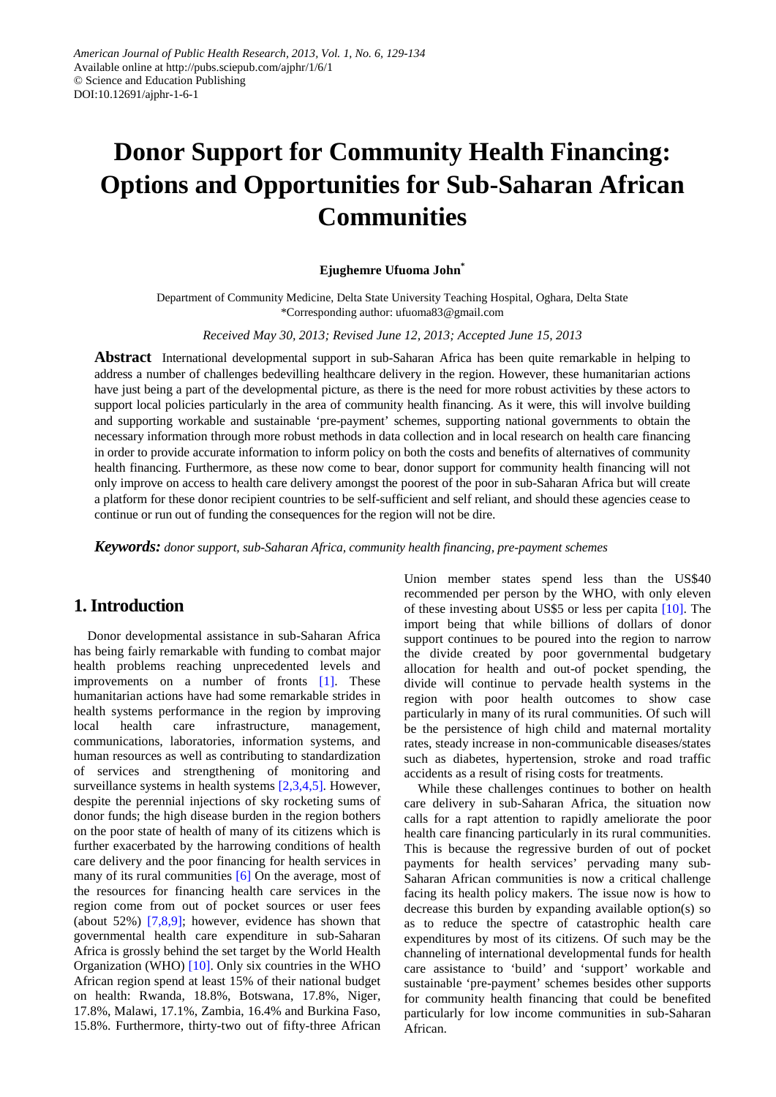# **Donor Support for Community Health Financing: Options and Opportunities for Sub-Saharan African Communities**

#### **Ejughemre Ufuoma John\***

Department of Community Medicine, Delta State University Teaching Hospital, Oghara, Delta State \*Corresponding author: ufuoma83@gmail.com

*Received May 30, 2013; Revised June 12, 2013; Accepted June 15, 2013*

**Abstract** International developmental support in sub-Saharan Africa has been quite remarkable in helping to address a number of challenges bedevilling healthcare delivery in the region. However, these humanitarian actions have just being a part of the developmental picture, as there is the need for more robust activities by these actors to support local policies particularly in the area of community health financing. As it were, this will involve building and supporting workable and sustainable 'pre-payment' schemes, supporting national governments to obtain the necessary information through more robust methods in data collection and in local research on health care financing in order to provide accurate information to inform policy on both the costs and benefits of alternatives of community health financing. Furthermore, as these now come to bear, donor support for community health financing will not only improve on access to health care delivery amongst the poorest of the poor in sub-Saharan Africa but will create a platform for these donor recipient countries to be self-sufficient and self reliant, and should these agencies cease to continue or run out of funding the consequences for the region will not be dire.

*Keywords: donor support, sub-Saharan Africa, community health financing, pre-payment schemes*

# **1. Introduction**

Donor developmental assistance in sub-Saharan Africa has being fairly remarkable with funding to combat major health problems reaching unprecedented levels and improvements on a number of fronts [\[1\].](#page-4-0) These humanitarian actions have had some remarkable strides in health systems performance in the region by improving local health care infrastructure, management, communications, laboratories, information systems, and human resources as well as contributing to standardization of services and strengthening of monitoring and surveillance systems in health systems [\[2,3,4,5\].](#page-4-1) However, despite the perennial injections of sky rocketing sums of donor funds; the high disease burden in the region bothers on the poor state of health of many of its citizens which is further exacerbated by the harrowing conditions of health care delivery and the poor financing for health services in many of its rural communities [\[6\]](#page-4-2) On the average, most of the resources for financing health care services in the region come from out of pocket sources or user fees (about 52%) [\[7,8,9\];](#page-4-3) however, evidence has shown that governmental health care expenditure in sub-Saharan Africa is grossly behind the set target by the World Health Organization (WHO) [\[10\].](#page-4-4) Only six countries in the WHO African region spend at least 15% of their national budget on health: Rwanda, 18.8%, Botswana, 17.8%, Niger, 17.8%, Malawi, 17.1%, Zambia, 16.4% and Burkina Faso, 15.8%. Furthermore, thirty-two out of fifty-three African

Union member states spend less than the US\$40 recommended per person by the WHO, with only eleven of these investing about US\$5 or less per capita [\[10\].](#page-4-4) The import being that while billions of dollars of donor support continues to be poured into the region to narrow the divide created by poor governmental budgetary allocation for health and out-of pocket spending, the divide will continue to pervade health systems in the region with poor health outcomes to show case particularly in many of its rural communities. Of such will be the persistence of high child and maternal mortality rates, steady increase in non-communicable diseases/states such as diabetes, hypertension, stroke and road traffic accidents as a result of rising costs for treatments.

While these challenges continues to bother on health care delivery in sub-Saharan Africa, the situation now calls for a rapt attention to rapidly ameliorate the poor health care financing particularly in its rural communities. This is because the regressive burden of out of pocket payments for health services' pervading many sub-Saharan African communities is now a critical challenge facing its health policy makers. The issue now is how to decrease this burden by expanding available option(s) so as to reduce the spectre of catastrophic health care expenditures by most of its citizens. Of such may be the channeling of international developmental funds for health care assistance to 'build' and 'support' workable and sustainable 'pre-payment' schemes besides other supports for community health financing that could be benefited particularly for low income communities in sub-Saharan African.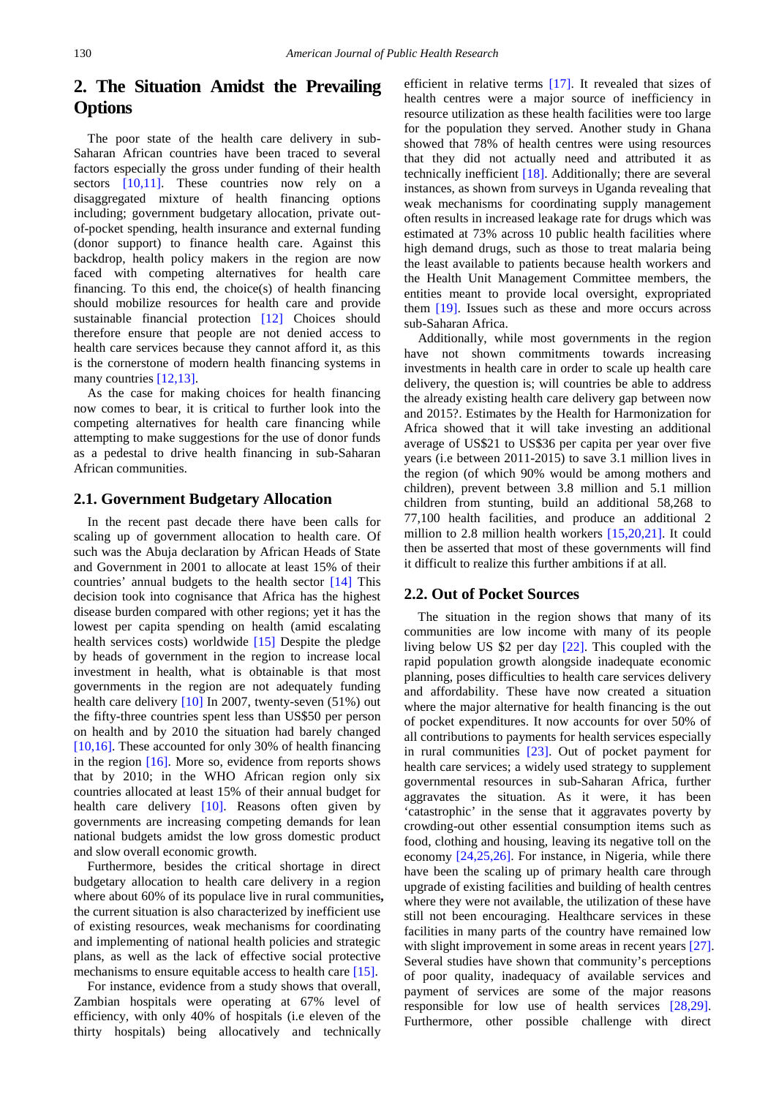# **2. The Situation Amidst the Prevailing Options**

The poor state of the health care delivery in sub-Saharan African countries have been traced to several factors especially the gross under funding of their health sectors [\[10,11\].](#page-4-4) These countries now rely on a disaggregated mixture of health financing options including; government budgetary allocation, private outof-pocket spending, health insurance and external funding (donor support) to finance health care. Against this backdrop, health policy makers in the region are now faced with competing alternatives for health care financing. To this end, the choice(s) of health financing should mobilize resources for health care and provide sustainable financial protection [\[12\]](#page-4-5) Choices should therefore ensure that people are not denied access to health care services because they cannot afford it, as this is the cornerstone of modern health financing systems in many countries [\[12,13\].](#page-4-5)

As the case for making choices for health financing now comes to bear, it is critical to further look into the competing alternatives for health care financing while attempting to make suggestions for the use of donor funds as a pedestal to drive health financing in sub-Saharan African communities.

#### **2.1. Government Budgetary Allocation**

In the recent past decade there have been calls for scaling up of government allocation to health care. Of such was the Abuja declaration by African Heads of State and Government in 2001 to allocate at least 15% of their countries' annual budgets to the health sector [\[14\]](#page-4-6) This decision took into cognisance that Africa has the highest disease burden compared with other regions; yet it has the lowest per capita spending on health (amid escalating health services costs) worldwide [\[15\]](#page-4-7) Despite the pledge by heads of government in the region to increase local investment in health, what is obtainable is that most governments in the region are not adequately funding health care delivery [\[10\]](#page-4-4) In 2007, twenty-seven (51%) out the fifty-three countries spent less than US\$50 per person on health and by 2010 the situation had barely changed [\[10,16\].](#page-4-4) These accounted for only 30% of health financing in the region  $[16]$ . More so, evidence from reports shows that by 2010; in the WHO African region only six countries allocated at least 15% of their annual budget for health care delivery [\[10\].](#page-4-4) Reasons often given by governments are increasing competing demands for lean national budgets amidst the low gross domestic product and slow overall economic growth.

Furthermore, besides the critical shortage in direct budgetary allocation to health care delivery in a region where about 60% of its populace live in rural communities**,**  the current situation is also characterized by inefficient use of existing resources, weak mechanisms for coordinating and implementing of national health policies and strategic plans, as well as the lack of effective social protective mechanisms to ensure equitable access to health care [\[15\].](#page-4-7)

For instance, evidence from a study shows that overall, Zambian hospitals were operating at 67% level of efficiency, with only 40% of hospitals (i.e eleven of the thirty hospitals) being allocatively and technically

efficient in relative terms [\[17\].](#page-4-9) It revealed that sizes of health centres were a major source of inefficiency in resource utilization as these health facilities were too large for the population they served. Another study in Ghana showed that 78% of health centres were using resources that they did not actually need and attributed it as technically inefficient [\[18\].](#page-4-10) Additionally; there are several instances, as shown from surveys in Uganda revealing that weak mechanisms for coordinating supply management often results in increased leakage rate for drugs which was estimated at 73% across 10 public health facilities where high demand drugs, such as those to treat malaria being the least available to patients because health workers and the Health Unit Management Committee members, the entities meant to provide local oversight, expropriated them [\[19\].](#page-4-11) Issues such as these and more occurs across sub-Saharan Africa.

Additionally, while most governments in the region have not shown commitments towards increasing investments in health care in order to scale up health care delivery, the question is; will countries be able to address the already existing health care delivery gap between now and 2015?. Estimates by the Health for Harmonization for Africa showed that it will take investing an additional average of US\$21 to US\$36 per capita per year over five years (i.e between 2011-2015) to save 3.1 million lives in the region (of which 90% would be among mothers and children), prevent between 3.8 million and 5.1 million children from stunting, build an additional 58,268 to 77,100 health facilities, and produce an additional 2 million to 2.8 million health workers [\[15,20,21\].](#page-4-7) It could then be asserted that most of these governments will find it difficult to realize this further ambitions if at all.

#### **2.2. Out of Pocket Sources**

The situation in the region shows that many of its communities are low income with many of its people living below US \$2 per day [\[22\].](#page-4-12) This coupled with the rapid population growth alongside inadequate economic planning, poses difficulties to health care services delivery and affordability. These have now created a situation where the major alternative for health financing is the out of pocket expenditures. It now accounts for over 50% of all contributions to payments for health services especially in rural communities [\[23\].](#page-4-13) Out of pocket payment for health care services; a widely used strategy to supplement governmental resources in sub-Saharan Africa, further aggravates the situation. As it were, it has been 'catastrophic' in the sense that it aggravates poverty by crowding-out other essential consumption items such as food, clothing and housing, leaving its negative toll on the economy [\[24,25,26\].](#page-4-14) For instance, in Nigeria, while there have been the scaling up of primary health care through upgrade of existing facilities and building of health centres where they were not available, the utilization of these have still not been encouraging. Healthcare services in these facilities in many parts of the country have remained low with slight improvement in some areas in recent years [\[27\].](#page-4-15) Several studies have shown that community's perceptions of poor quality, inadequacy of available services and payment of services are some of the major reasons responsible for low use of health services [\[28,29\].](#page-4-16) Furthermore, other possible challenge with direct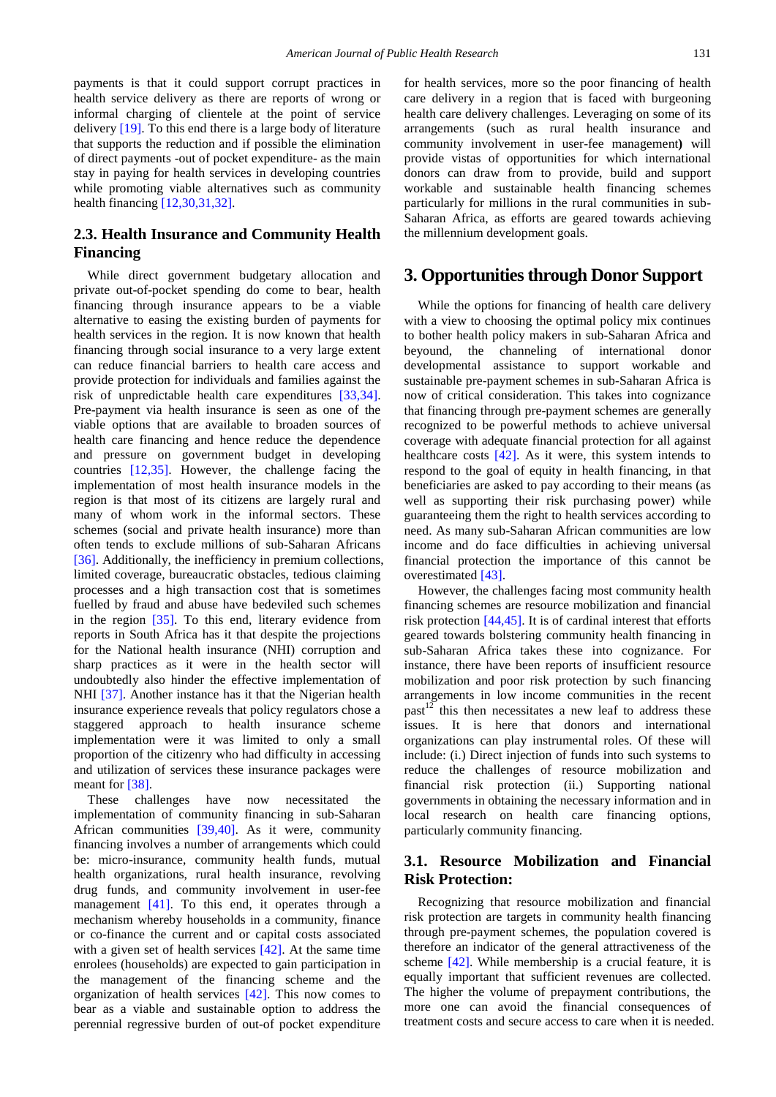payments is that it could support corrupt practices in health service delivery as there are reports of wrong or informal charging of clientele at the point of service delivery [\[19\].](#page-4-11) To this end there is a large body of literature that supports the reduction and if possible the elimination of direct payments -out of pocket expenditure- as the main stay in paying for health services in developing countries while promoting viable alternatives such as community health financing [\[12,30,31,32\].](#page-4-5)

#### **2.3. Health Insurance and Community Health Financing**

While direct government budgetary allocation and private out-of-pocket spending do come to bear, health financing through insurance appears to be a viable alternative to easing the existing burden of payments for health services in the region. It is now known that health financing through social insurance to a very large extent can reduce financial barriers to health care access and provide protection for individuals and families against the risk of unpredictable health care expenditures [\[33,34\].](#page-4-17) Pre-payment via health insurance is seen as one of the viable options that are available to broaden sources of health care financing and hence reduce the dependence and pressure on government budget in developing countries [\[12,35\].](#page-4-5) However, the challenge facing the implementation of most health insurance models in the region is that most of its citizens are largely rural and many of whom work in the informal sectors. These schemes (social and private health insurance) more than often tends to exclude millions of sub-Saharan Africans [\[36\].](#page-4-18) Additionally, the inefficiency in premium collections, limited coverage, bureaucratic obstacles, tedious claiming processes and a high transaction cost that is sometimes fuelled by fraud and abuse have bedeviled such schemes in the region [\[35\].](#page-4-19) To this end, literary evidence from reports in South Africa has it that despite the projections for the National health insurance (NHI) corruption and sharp practices as it were in the health sector will undoubtedly also hinder the effective implementation of NHI [\[37\].](#page-4-20) Another instance has it that the Nigerian health insurance experience reveals that policy regulators chose a staggered approach to health insurance scheme implementation were it was limited to only a small proportion of the citizenry who had difficulty in accessing and utilization of services these insurance packages were meant for [\[38\].](#page-4-21)

These challenges have now necessitated the implementation of community financing in sub-Saharan African communities [\[39,40\].](#page-4-22) As it were, community financing involves a number of arrangements which could be: micro-insurance, community health funds, mutual health organizations, rural health insurance, revolving drug funds, and community involvement in user-fee management [\[41\].](#page-5-0) To this end, it operates through a mechanism whereby households in a community, finance or co-finance the current and or capital costs associated with a given set of health services  $[42]$ . At the same time enrolees (households) are expected to gain participation in the management of the financing scheme and the organization of health services [\[42\].](#page-5-1) This now comes to bear as a viable and sustainable option to address the perennial regressive burden of out-of pocket expenditure for health services, more so the poor financing of health care delivery in a region that is faced with burgeoning health care delivery challenges. Leveraging on some of its arrangements (such as rural health insurance and community involvement in user-fee management**)** will provide vistas of opportunities for which international donors can draw from to provide, build and support workable and sustainable health financing schemes particularly for millions in the rural communities in sub-Saharan Africa, as efforts are geared towards achieving the millennium development goals.

#### **3. Opportunities through Donor Support**

While the options for financing of health care delivery with a view to choosing the optimal policy mix continues to bother health policy makers in sub-Saharan Africa and beyound, the channeling of international donor developmental assistance to support workable and sustainable pre-payment schemes in sub-Saharan Africa is now of critical consideration. This takes into cognizance that financing through pre-payment schemes are generally recognized to be powerful methods to achieve universal coverage with adequate financial protection for all against healthcare costs [\[42\].](#page-5-1) As it were, this system intends to respond to the goal of equity in health financing, in that beneficiaries are asked to pay according to their means (as well as supporting their risk purchasing power) while guaranteeing them the right to health services according to need. As many sub-Saharan African communities are low income and do face difficulties in achieving universal financial protection the importance of this cannot be overestimated [\[43\].](#page-5-2)

However, the challenges facing most community health financing schemes are resource mobilization and financial risk protection [\[44,45\].](#page-5-3) It is of cardinal interest that efforts geared towards bolstering community health financing in sub-Saharan Africa takes these into cognizance. For instance, there have been reports of insufficient resource mobilization and poor risk protection by such financing arrangements in low income communities in the recent past $12$  this then necessitates a new leaf to address these issues. It is here that donors and international organizations can play instrumental roles. Of these will include: (i.) Direct injection of funds into such systems to reduce the challenges of resource mobilization and financial risk protection (ii.) Supporting national governments in obtaining the necessary information and in local research on health care financing options, particularly community financing.

#### **3.1. Resource Mobilization and Financial Risk Protection:**

Recognizing that resource mobilization and financial risk protection are targets in community health financing through pre-payment schemes, the population covered is therefore an indicator of the general attractiveness of the scheme [\[42\].](#page-5-1) While membership is a crucial feature, it is equally important that sufficient revenues are collected. The higher the volume of prepayment contributions, the more one can avoid the financial consequences of treatment costs and secure access to care when it is needed.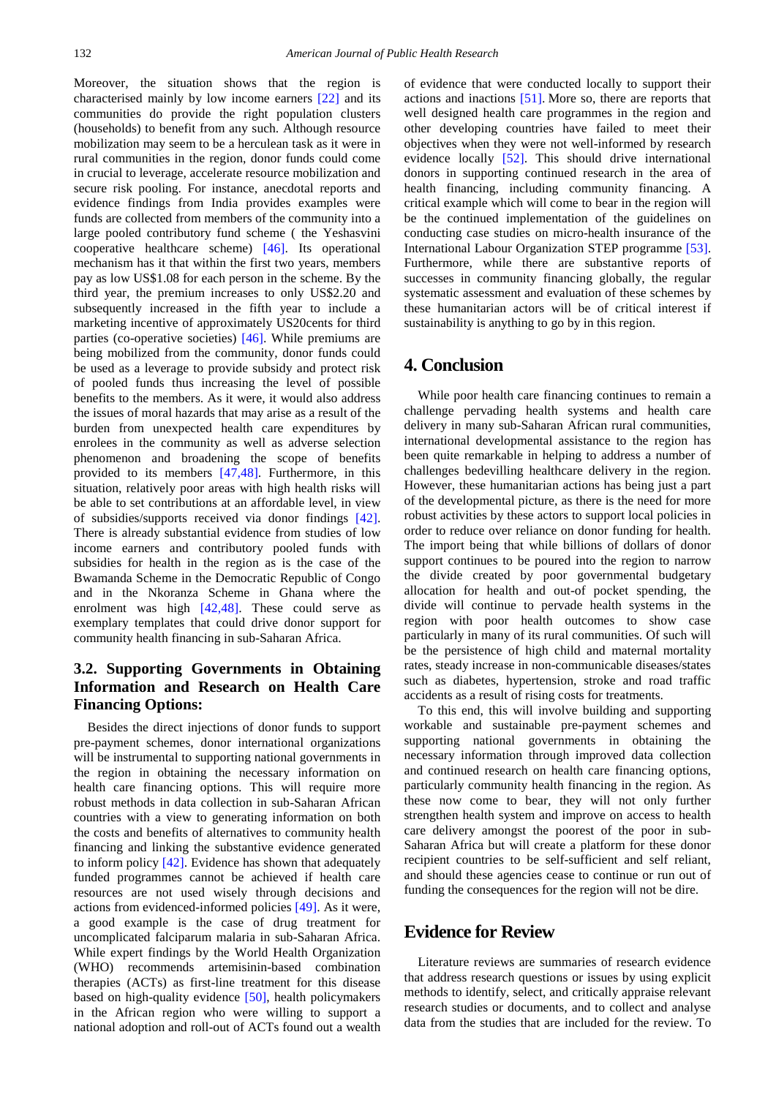Moreover, the situation shows that the region is characterised mainly by low income earners [\[22\]](#page-4-12) and its communities do provide the right population clusters (households) to benefit from any such. Although resource mobilization may seem to be a herculean task as it were in rural communities in the region, donor funds could come in crucial to leverage, accelerate resource mobilization and secure risk pooling. For instance, anecdotal reports and evidence findings from India provides examples were funds are collected from members of the community into a large pooled contributory fund scheme ( the Yeshasvini cooperative healthcare scheme) [\[46\].](#page-5-4) Its operational mechanism has it that within the first two years, members pay as low US\$1.08 for each person in the scheme. By the third year, the premium increases to only US\$2.20 and subsequently increased in the fifth year to include a marketing incentive of approximately US20cents for third parties (co-operative societies) [\[46\].](#page-5-4) While premiums are being mobilized from the community, donor funds could be used as a leverage to provide subsidy and protect risk of pooled funds thus increasing the level of possible benefits to the members. As it were, it would also address the issues of moral hazards that may arise as a result of the burden from unexpected health care expenditures by enrolees in the community as well as adverse selection phenomenon and broadening the scope of benefits provided to its members [\[47,48\].](#page-5-5) Furthermore, in this situation, relatively poor areas with high health risks will be able to set contributions at an affordable level, in view of subsidies/supports received via donor findings [\[42\].](#page-5-1) There is already substantial evidence from studies of low income earners and contributory pooled funds with subsidies for health in the region as is the case of the Bwamanda Scheme in the Democratic Republic of Congo and in the Nkoranza Scheme in Ghana where the enrolment was high [\[42,48\].](#page-5-1) These could serve as exemplary templates that could drive donor support for community health financing in sub-Saharan Africa.

### **3.2. Supporting Governments in Obtaining Information and Research on Health Care Financing Options:**

Besides the direct injections of donor funds to support pre-payment schemes, donor international organizations will be instrumental to supporting national governments in the region in obtaining the necessary information on health care financing options. This will require more robust methods in data collection in sub-Saharan African countries with a view to generating information on both the costs and benefits of alternatives to community health financing and linking the substantive evidence generated to inform policy [\[42\].](#page-5-1) Evidence has shown that adequately funded programmes cannot be achieved if health care resources are not used wisely through decisions and actions from evidenced-informed policies [\[49\].](#page-5-6) As it were, a good example is the case of drug treatment for uncomplicated falciparum malaria in sub-Saharan Africa. While expert findings by the World Health Organization (WHO) recommends artemisinin-based combination therapies (ACTs) as first-line treatment for this disease based on high-quality evidence [\[50\],](#page-5-7) health policymakers in the African region who were willing to support a national adoption and roll-out of ACTs found out a wealth

of evidence that were conducted locally to support their actions and inactions [\[51\].](#page-5-8) More so, there are reports that well designed health care programmes in the region and other developing countries have failed to meet their objectives when they were not well-informed by research evidence locally [\[52\].](#page-5-9) This should drive international donors in supporting continued research in the area of health financing, including community financing. A critical example which will come to bear in the region will be the continued implementation of the guidelines on conducting case studies on micro-health insurance of the International Labour Organization STEP programme [\[53\].](#page-5-10) Furthermore, while there are substantive reports of successes in community financing globally, the regular systematic assessment and evaluation of these schemes by these humanitarian actors will be of critical interest if sustainability is anything to go by in this region.

### **4. Conclusion**

While poor health care financing continues to remain a challenge pervading health systems and health care delivery in many sub-Saharan African rural communities, international developmental assistance to the region has been quite remarkable in helping to address a number of challenges bedevilling healthcare delivery in the region. However, these humanitarian actions has being just a part of the developmental picture, as there is the need for more robust activities by these actors to support local policies in order to reduce over reliance on donor funding for health. The import being that while billions of dollars of donor support continues to be poured into the region to narrow the divide created by poor governmental budgetary allocation for health and out-of pocket spending, the divide will continue to pervade health systems in the region with poor health outcomes to show case particularly in many of its rural communities. Of such will be the persistence of high child and maternal mortality rates, steady increase in non-communicable diseases/states such as diabetes, hypertension, stroke and road traffic accidents as a result of rising costs for treatments.

To this end, this will involve building and supporting workable and sustainable pre-payment schemes and supporting national governments in obtaining the necessary information through improved data collection and continued research on health care financing options, particularly community health financing in the region. As these now come to bear, they will not only further strengthen health system and improve on access to health care delivery amongst the poorest of the poor in sub-Saharan Africa but will create a platform for these donor recipient countries to be self-sufficient and self reliant, and should these agencies cease to continue or run out of funding the consequences for the region will not be dire.

# **Evidence for Review**

Literature reviews are summaries of research evidence that address research questions or issues by using explicit methods to identify, select, and critically appraise relevant research studies or documents, and to collect and analyse data from the studies that are included for the review. To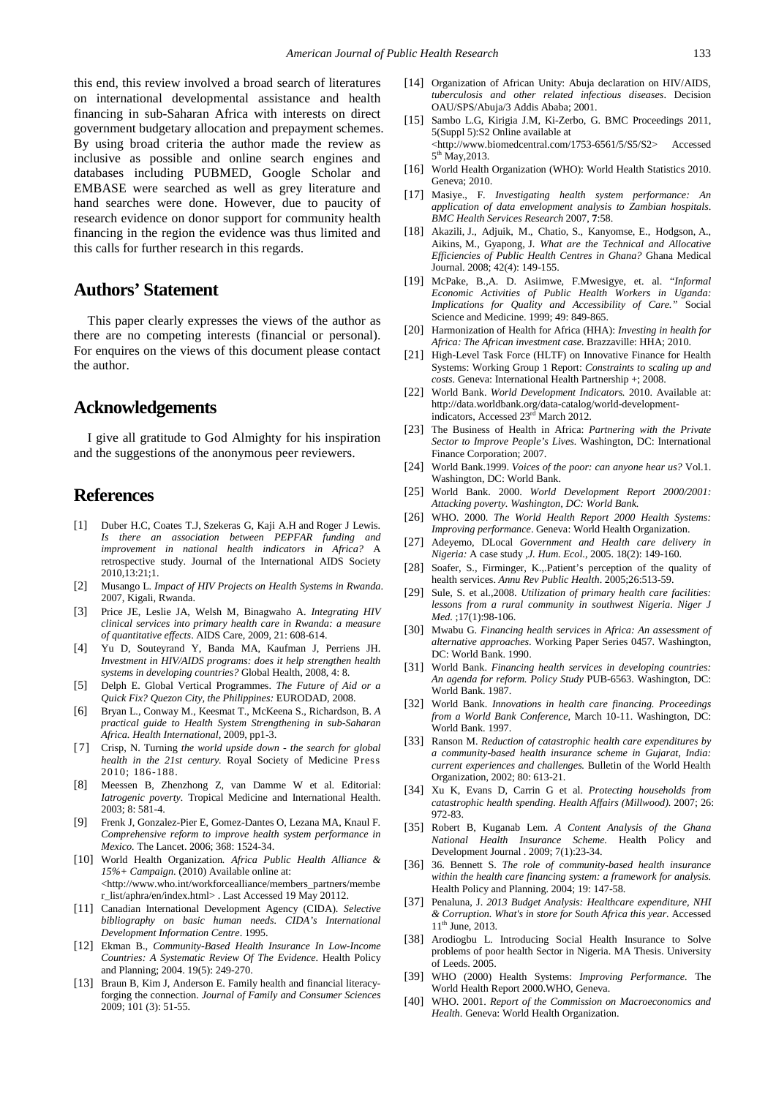this end, this review involved a broad search of literatures on international developmental assistance and health financing in sub-Saharan Africa with interests on direct government budgetary allocation and prepayment schemes. By using broad criteria the author made the review as inclusive as possible and online search engines and databases including PUBMED, Google Scholar and EMBASE were searched as well as grey literature and hand searches were done. However, due to paucity of research evidence on donor support for community health financing in the region the evidence was thus limited and this calls for further research in this regards.

#### **Authors' Statement**

This paper clearly expresses the views of the author as there are no competing interests (financial or personal). For enquires on the views of this document please contact the author.

#### **Acknowledgements**

I give all gratitude to God Almighty for his inspiration and the suggestions of the anonymous peer reviewers.

### **References**

- <span id="page-4-0"></span>[1] Duber H.C, Coates T.J, Szekeras G, Kaji A.H and Roger J Lewis. *Is there an association between PEPFAR funding and improvement in national health indicators in Africa?* A retrospective study. Journal of the International AIDS Society 2010,13:21;1.
- <span id="page-4-1"></span>[2] Musango L. *Impact of HIV Projects on Health Systems in Rwanda*. 2007, Kigali, Rwanda.
- [3] Price JE, Leslie JA, Welsh M, Binagwaho A. *Integrating HIV clinical services into primary health care in Rwanda: a measure of quantitative effects*. AIDS Care, 2009, 21: 608-614.
- [4] Yu D, Souteyrand Y, Banda MA, Kaufman J, Perriens JH. *Investment in HIV/AIDS programs: does it help strengthen health systems in developing countries?* Global Health, 2008, 4: 8.
- [5] Delph E. Global Vertical Programmes. *The Future of Aid or a Quick Fix? Quezon City, the Philippines:* EURODAD, 2008.
- <span id="page-4-2"></span>[6] Bryan L., Conway M., Keesmat T., McKeena S., Richardson, B. *A practical guide to Health System Strengthening in sub-Saharan Africa. Health International,* 2009, pp1-3.
- <span id="page-4-3"></span>[7] Crisp, N. Turning *the world upside down - the search for global health in the 21st century.* Royal Society of Medicine Press 2010; 186-188.
- [8] Meessen B, Zhenzhong Z, van Damme W et al. Editorial: *Iatrogenic poverty.* Tropical Medicine and International Health. 2003; 8: 581-4.
- [9] Frenk J, Gonzalez-Pier E, Gomez-Dantes O, Lezana MA, Knaul F. *Comprehensive reform to improve health system performance in Mexico.* The Lancet. 2006; 368: 1524-34.
- <span id="page-4-4"></span>[10] World Health Organization*. Africa Public Health Alliance & 15%+ Campaign*. (2010) Available online at: <http://www.who.int/workforcealliance/members\_partners/membe r\_list/aphra/en/index.html> . Last Accessed 19 May 20112.
- [11] Canadian International Development Agency (CIDA). *Selective bibliography on basic human needs. CIDA's International Development Information Centre*. 1995.
- <span id="page-4-5"></span>[12] Ekman B., *Community-Based Health Insurance In Low-Income Countries: A Systematic Review Of The Evidence*. Health Policy and Planning; 2004. 19(5): 249-270.
- [13] Braun B, Kim J, Anderson E. Family health and financial literacyforging the connection. *Journal of Family and Consumer Sciences* 2009; 101 (3): 51-55.
- <span id="page-4-6"></span>[14] Organization of African Unity: Abuja declaration on HIV/AIDS, *tuberculosis and other related infectious diseases*. Decision OAU/SPS/Abuja/3 Addis Ababa; 2001.
- <span id="page-4-7"></span>[15] Sambo L.G, Kirigia J.M, Ki-Zerbo, G. BMC Proceedings 2011, 5(Suppl 5):S2 Online available at <http://www.biomedcentral.com/1753-6561/5/S5/S2> Accessed 5<sup>th</sup> May, 2013.
- <span id="page-4-8"></span>[16] World Health Organization (WHO): World Health Statistics 2010. Geneva; 2010.
- <span id="page-4-9"></span>[17] Masiye., F. *Investigating health system performance: An application of data envelopment analysis to Zambian hospitals*. *BMC Health Services Research* 2007, **7**:58.
- <span id="page-4-10"></span>[18] Akazili, J., Adjuik, M., Chatio, S., Kanyomse, E., Hodgson, A., Aikins, M., Gyapong, J. *What are the Technical and Allocative Efficiencies of Public Health Centres in Ghana?* Ghana Medical Journal. 2008; 42(4): 149-155.
- <span id="page-4-11"></span>[19] McPake, B.,A. D. Asiimwe, F.Mwesigye, et. al. "*Informal Economic Activities of Public Health Workers in Uganda: Implications for Quality and Accessibility of Care."* Social Science and Medicine. 1999; 49: 849-865.
- [20] Harmonization of Health for Africa (HHA): *Investing in health for Africa: The African investment case.* Brazzaville: HHA; 2010.
- [21] High-Level Task Force (HLTF) on Innovative Finance for Health Systems: Working Group 1 Report: *Constraints to scaling up and costs*. Geneva: International Health Partnership +; 2008.
- <span id="page-4-12"></span>[22] World Bank. *World Development Indicators.* 2010. Available at: http://data.worldbank.org/data-catalog/world-developmentindicators, Accessed 23<sup>rd</sup> March 2012.
- <span id="page-4-13"></span>[23] The Business of Health in Africa: *Partnering with the Private Sector to Improve People's Lives.* Washington, DC: International Finance Corporation; 2007.
- <span id="page-4-14"></span>[24] World Bank.1999. *Voices of the poor: can anyone hear us?* Vol.1. Washington, DC: World Bank.
- [25] World Bank. 2000. *World Development Report 2000/2001: Attacking poverty. Washington, DC: World Bank.*
- [26] WHO. 2000. *The World Health Report 2000 Health Systems: Improving performance*. Geneva: World Health Organization.
- <span id="page-4-15"></span>[27] Adeyemo, DLocal *Government and Health care delivery in Nigeria:* A case study ,*J. Hum. Ecol*., 2005. 18(2): 149-160.
- <span id="page-4-16"></span>[28] Soafer, S., Firminger, K.,.Patient's perception of the quality of health services. *Annu Rev Public Health*. 2005;26:513-59.
- [29] Sule, S. et al.,2008. *Utilization of primary health care facilities: lessons from a rural community in southwest Nigeria*. *Niger J Med.* ;17(1):98-106.
- [30] Mwabu G. *Financing health services in Africa: An assessment of alternative approaches*. Working Paper Series 0457. Washington, DC: World Bank. 1990.
- [31] World Bank. *Financing health services in developing countries: An agenda for reform. Policy Study* PUB-6563. Washington, DC: World Bank. 1987.
- [32] World Bank. *Innovations in health care financing. Proceedings from a World Bank Conference,* March 10-11. Washington, DC: World Bank. 1997.
- <span id="page-4-17"></span>[33] Ranson M. *Reduction of catastrophic health care expenditures by a community-based health insurance scheme in Gujarat, India: current experiences and challenges.* Bulletin of the World Health Organization, 2002; 80: 613-21.
- [34] Xu K, Evans D, Carrin G et al. *Protecting households from catastrophic health spending. Health Affairs (Millwood).* 2007; 26: 972-83.
- <span id="page-4-19"></span>[35] Robert B, Kuganab Lem. *A Content Analysis of the Ghana National Health Insurance Scheme.* Health Policy and Development Journal . 2009; 7(1):23-34.
- <span id="page-4-18"></span>[36] 36. Bennett S. *The role of community-based health insurance within the health care financing system: a framework for analysis.* Health Policy and Planning. 2004; 19: 147-58.
- <span id="page-4-20"></span>[37] Penaluna, J. *2013 Budget Analysis: Healthcare expenditure, NHI & Corruption. What's in store for South Africa this year.* Accessed 11th June, 2013.
- <span id="page-4-21"></span>[38] Arodiogbu L. Introducing Social Health Insurance to Solve problems of poor health Sector in Nigeria. MA Thesis. University of Leeds. 2005.
- <span id="page-4-22"></span>[39] WHO (2000) Health Systems: *Improving Performance.* The World Health Report 2000.WHO, Geneva.
- [40] WHO. 2001. *Report of the Commission on Macroeconomics and Health*. Geneva: World Health Organization.